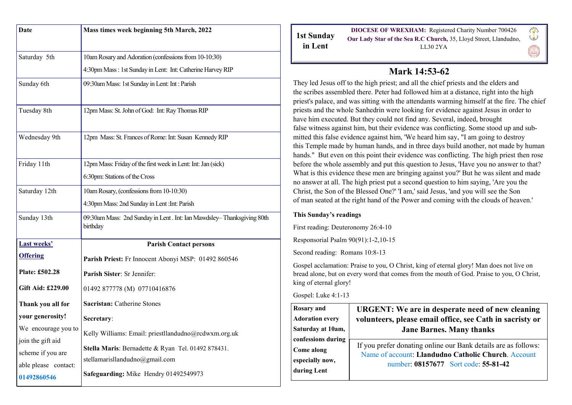| <b>Date</b>          | Mass times week beginning 5th March, 2022                                            |
|----------------------|--------------------------------------------------------------------------------------|
|                      |                                                                                      |
| Saturday 5th         | 10am Rosary and Adoration (confessions from 10-10:30)                                |
|                      | 4:30pm Mass : 1st Sunday in Lent: Int: Catherine Harvey RIP                          |
| Sunday 6th           | 09:30am Mass: 1st Sunday in Lent: Int : Parish                                       |
|                      |                                                                                      |
| Tuesday 8th          | 12pm Mass: St. John of God: Int: Ray Thomas RIP                                      |
|                      |                                                                                      |
| Wednesday 9th        | 12pm Mass: St. Frances of Rome: Int: Susan Kennedy RIP                               |
|                      |                                                                                      |
| Friday 11th          | 12pm Mass: Friday of the first week in Lent: Int: Jan (sick)                         |
|                      | 6:30pm: Stations of the Cross                                                        |
| Saturday 12th        | 10am Rosary, (confessions from 10-10:30)                                             |
|                      | 4:30pm Mass: 2nd Sunday in Lent : Int: Parish                                        |
| Sunday 13th          | 09:30am Mass: 2nd Sunday in Lent. Int: Ian Mawdsley-Thanksgiving 80th<br>birthday    |
| <b>Last weeks'</b>   | <b>Parish Contact persons</b>                                                        |
| <b>Offering</b>      | Parish Priest: Fr Innocent Abonyi MSP: 01492 860546                                  |
| Plate: £502.28       | Parish Sister: Sr Jennifer:                                                          |
| Gift Aid: £229.00    | 01492 877778 (M) 07710416876                                                         |
| Thank you all for    | Sacristan: Catherine Stones                                                          |
| your generosity!     | Secretary:                                                                           |
| We encourage you to  | Kelly Williams: Email: priestllandudno@rcdwxm.org.uk                                 |
| join the gift aid    |                                                                                      |
| scheme if you are    | Stella Maris: Bernadette & Ryan Tel. 01492 878431.<br>stellamarisllandudno@gmail.com |
| able please contact: |                                                                                      |
| 01492860546          | Safeguarding: Mike Hendry 01492549973                                                |

|            | <b>DIOCESE OF WREXHAM:</b> Registered Charity Number 700426       |
|------------|-------------------------------------------------------------------|
| 1st Sunday | Our Lady Star of the Sea R.C Church, 35, Lloyd Street, Llandudno, |
| in Lent    | LL30 2YA                                                          |

# **Mark 14:53-62**

They led Jesus off to the high priest; and all the chief priests and the elders and the scribes assembled there. Peter had followed him at a distance, right into the high priest's palace, and was sitting with the attendants warming himself at the fire. The chief priests and the whole Sanhedrin were looking for evidence against Jesus in order to have him executed. But they could not find any. Several, indeed, brought false witness against him, but their evidence was conflicting. Some stood up and submitted this false evidence against him, 'We heard him say, "I am going to destroy this Temple made by human hands, and in three days build another, not made by human hands." But even on this point their evidence was conflicting. The high priest then rose before the whole assembly and put this question to Jesus, 'Have you no answer to that? What is this evidence these men are bringing against you?' But he was silent and made no answer at all. The high priest put a second question to him saying, 'Are you the Christ, the Son of the Blessed One?' 'I am,' said Jesus, 'and you will see the Son of man seated at the right hand of the Power and coming with the clouds of heaven.'

### **This Sunday's readings**

First reading: Deuteronomy 26:4-10

Responsorial Psalm 90(91):1-2,10-15

Second reading: Romans 10:8-13

Gospel acclamation: Praise to you, O Christ, king of eternal glory! Man does not live on bread alone, but on every word that comes from the mouth of God. Praise to you, O Christ, king of eternal glory!

Gospel: Luke 4:1-13

| <b>Rosary</b> and<br><b>Adoration every</b><br>Saturday at 10am,<br>confessions during | <b>URGENT:</b> We are in desperate need of new cleaning<br>volunteers, please email office, see Cath in sacristy or<br><b>Jane Barnes. Many thanks</b> |
|----------------------------------------------------------------------------------------|--------------------------------------------------------------------------------------------------------------------------------------------------------|
| Come along                                                                             | If you prefer donating online our Bank details are as follows:                                                                                         |
| especially now,                                                                        | Name of account: Llandudno Catholic Church. Account                                                                                                    |
| during Lent                                                                            | number: 08157677 Sort code: 55-81-42                                                                                                                   |